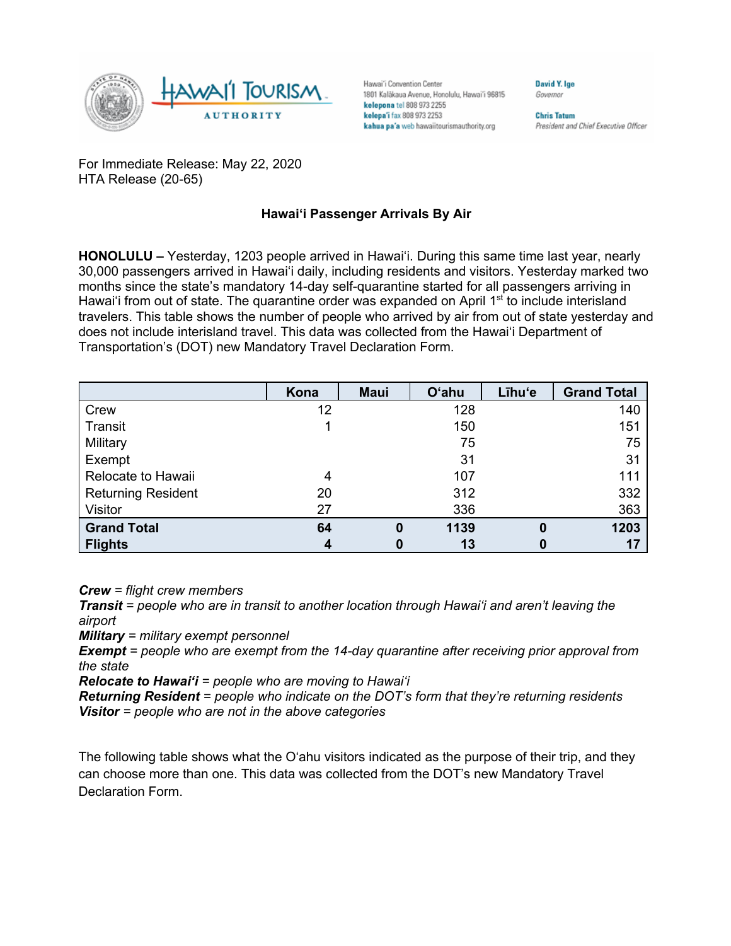

Hawai'i Convention Center 1801 Kalākaua Avenue, Honolulu, Hawai'i 96815 kelepona tel 808 973 2255 kelepa'i fax 808 973 2253 kahua pa'a web hawaiitourismauthority.org

**Chris Tatum** President and Chief Executive Officer

**David V Ine** 

Governor

For Immediate Release: May 22, 2020 HTA Release (20-65)

## **Hawai'i Passenger Arrivals By Air**

**HONOLULU –** Yesterday, 1203 people arrived in Hawai'i. During this same time last year, nearly 30,000 passengers arrived in Hawai'i daily, including residents and visitors. Yesterday marked two months since the state's mandatory 14-day self-quarantine started for all passengers arriving in Hawai'i from out of state. The quarantine order was expanded on April 1<sup>st</sup> to include interisland travelers. This table shows the number of people who arrived by air from out of state yesterday and does not include interisland travel. This data was collected from the Hawai'i Department of Transportation's (DOT) new Mandatory Travel Declaration Form.

|                           | Kona | <b>Maui</b>      | <b>O'ahu</b> | Līhu'e | <b>Grand Total</b> |
|---------------------------|------|------------------|--------------|--------|--------------------|
| Crew                      | 12   |                  | 128          |        | 140                |
| Transit                   |      |                  | 150          |        | 151                |
| Military                  |      |                  | 75           |        | 75                 |
| Exempt                    |      |                  | 31           |        | 31                 |
| Relocate to Hawaii        | 4    |                  | 107          |        | 111                |
| <b>Returning Resident</b> | 20   |                  | 312          |        | 332                |
| Visitor                   | 27   |                  | 336          |        | 363                |
| <b>Grand Total</b>        | 64   | $\boldsymbol{0}$ | 1139         | 0      | 1203               |
| <b>Flights</b>            | 4    | 0                | 13           |        | 17                 |

*Crew = flight crew members*

*Transit = people who are in transit to another location through Hawai'i and aren't leaving the airport*

*Military = military exempt personnel*

*Exempt = people who are exempt from the 14-day quarantine after receiving prior approval from the state*

*Relocate to Hawai'i = people who are moving to Hawai'i*

*Returning Resident = people who indicate on the DOT's form that they're returning residents Visitor = people who are not in the above categories*

The following table shows what the O'ahu visitors indicated as the purpose of their trip, and they can choose more than one. This data was collected from the DOT's new Mandatory Travel Declaration Form.